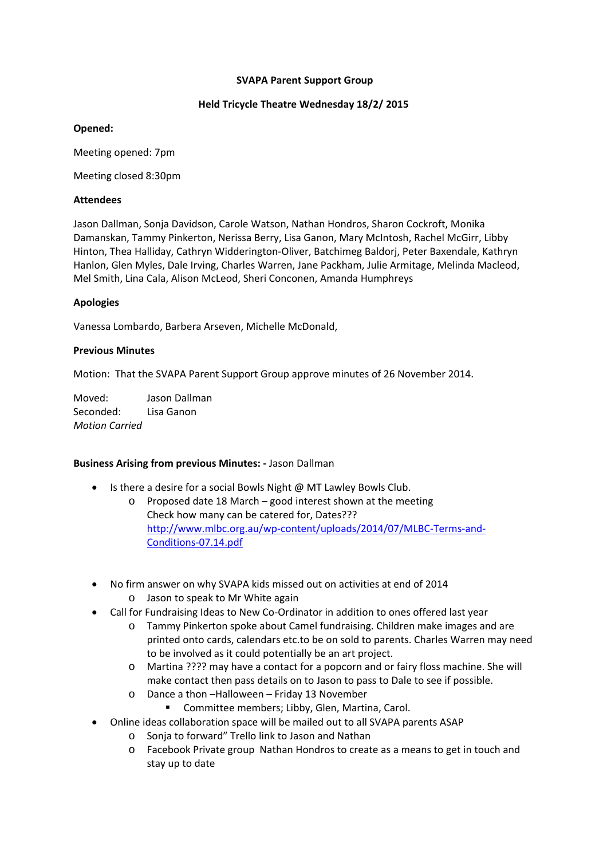# **SVAPA Parent Support Group**

# **Held Tricycle Theatre Wednesday 18/2/ 2015**

# **Opened:**

Meeting opened: 7pm

Meeting closed 8:30pm

# **Attendees**

Jason Dallman, Sonja Davidson, Carole Watson, Nathan Hondros, Sharon Cockroft, Monika Damanskan, Tammy Pinkerton, Nerissa Berry, Lisa Ganon, Mary McIntosh, Rachel McGirr, Libby Hinton, Thea Halliday, Cathryn Widderington‐Oliver, Batchimeg Baldorj, Peter Baxendale, Kathryn Hanlon, Glen Myles, Dale Irving, Charles Warren, Jane Packham, Julie Armitage, Melinda Macleod, Mel Smith, Lina Cala, Alison McLeod, Sheri Conconen, Amanda Humphreys

# **Apologies**

Vanessa Lombardo, Barbera Arseven, Michelle McDonald,

# **Previous Minutes**

Motion: That the SVAPA Parent Support Group approve minutes of 26 November 2014.

Moved: Jason Dallman Seconded: Lisa Ganon *Motion Carried*

#### **Business Arising from previous Minutes: ‐** Jason Dallman

- Is there a desire for a social Bowls Night @ MT Lawley Bowls Club.
	- o Proposed date 18 March good interest shown at the meeting Check how many can be catered for, Dates??? http://www.mlbc.org.au/wp‐content/uploads/2014/07/MLBC‐Terms‐and‐ Conditions‐07.14.pdf
- No firm answer on why SVAPA kids missed out on activities at end of 2014
	- o Jason to speak to Mr White again
- Call for Fundraising Ideas to New Co-Ordinator in addition to ones offered last year
	- o Tammy Pinkerton spoke about Camel fundraising. Children make images and are printed onto cards, calendars etc.to be on sold to parents. Charles Warren may need to be involved as it could potentially be an art project.
	- o Martina ???? may have a contact for a popcorn and or fairy floss machine. She will make contact then pass details on to Jason to pass to Dale to see if possible.
	- o Dance a thon –Halloween Friday 13 November
		- **E** Committee members; Libby, Glen, Martina, Carol.
- Online ideas collaboration space will be mailed out to all SVAPA parents ASAP
	- o Sonja to forward" Trello link to Jason and Nathan
	- o Facebook Private group Nathan Hondros to create as a means to get in touch and stay up to date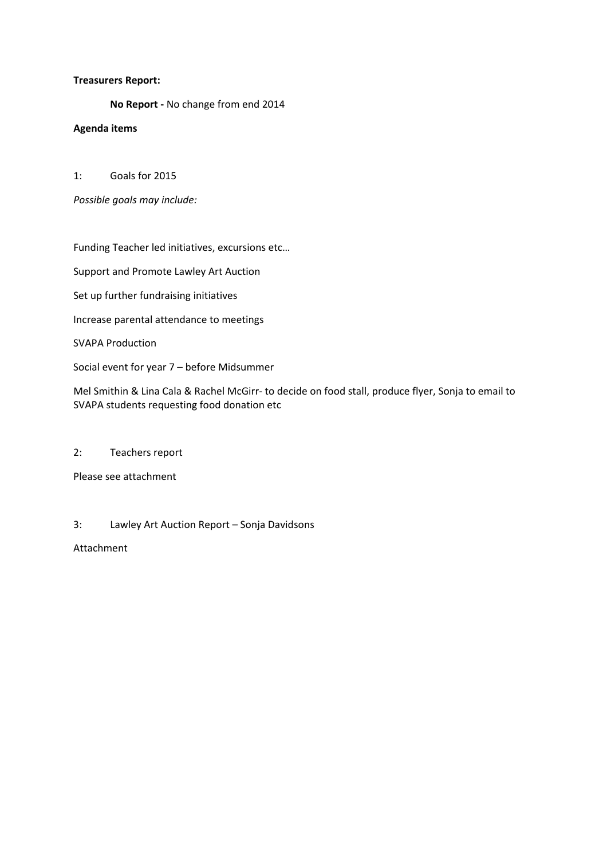# **Treasurers Report:**

**No Report ‐** No change from end 2014

# **Agenda items**

1: Goals for 2015

*Possible goals may include:*

Funding Teacher led initiatives, excursions etc…

Support and Promote Lawley Art Auction

Set up further fundraising initiatives

Increase parental attendance to meetings

SVAPA Production

Social event for year 7 – before Midsummer

Mel Smithin & Lina Cala & Rachel McGirr‐ to decide on food stall, produce flyer, Sonja to email to SVAPA students requesting food donation etc

#### 2: Teachers report

Please see attachment

# 3: Lawley Art Auction Report – Sonja Davidsons

Attachment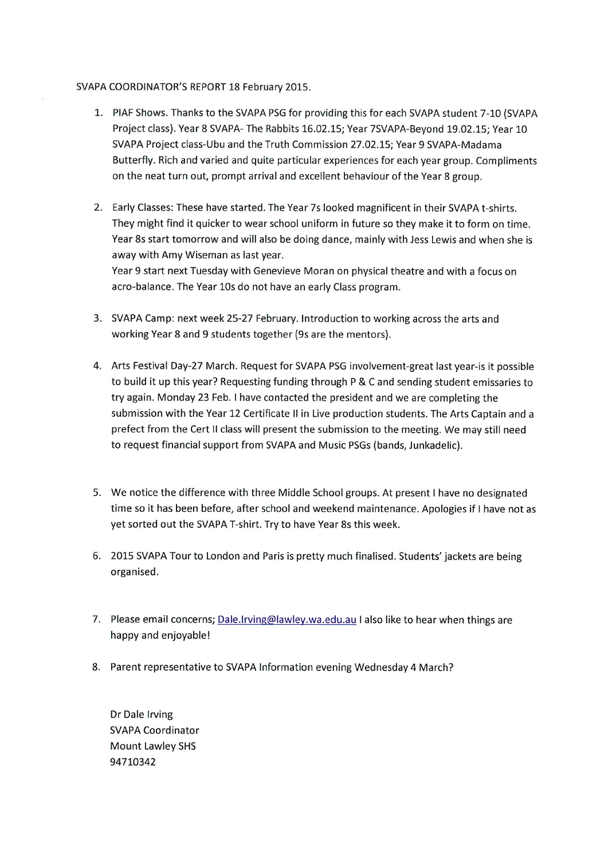#### SVAPA COORDINATOR'S REPORT 18 February 2015.

- 1. PIAF Shows. Thanks to the SVAPA PSG for providing this for each SVAPA student 7-10 (SVAPA Project class). Year 8 SVAPA- The Rabbits 16.02.15; Year 7SVAPA-Beyond 19.02.15; Year 10 SVAPA Project class-Ubu and the Truth Commission 27.02.15; Year 9 SVAPA-Madama Butterfly. Rich and varied and quite particular experiences for each year group. Compliments on the neat turn out, prompt arrival and excellent behaviour of the Year 8 group.
- 2. Early Classes: These have started. The Year 7s looked magnificent in their SVAPA t-shirts. They might find it quicker to wear school uniform in future so they make it to form on time. Year 8s start tomorrow and will also be doing dance, mainly with Jess Lewis and when she is away with Amy Wiseman as last year. Year 9 start next Tuesday with Genevieve Moran on physical theatre and with a focus on acro-balance. The Year 10s do not have an early Class program.
- 3. SVAPA Camp: next week 25-27 February. Introduction to working across the arts and working Year 8 and 9 students together (9s are the mentors).
- 4. Arts Festival Day-27 March. Request for SVAPA PSG involvement-great last year-is it possible to build it up this year? Requesting funding through P & C and sending student emissaries to try again. Monday 23 Feb. I have contacted the president and we are completing the submission with the Year 12 Certificate II in Live production students. The Arts Captain and a prefect from the Cert II class will present the submission to the meeting. We may still need to request financial support from SVAPA and Music PSGs (bands, Junkadelic).
- 5. We notice the difference with three Middle School groups. At present I have no designated time so it has been before, after school and weekend maintenance. Apologies if I have not as yet sorted out the SVAPA T-shirt. Try to have Year 8s this week.
- 6. 2015 SVAPA Tour to London and Paris is pretty much finalised. Students' jackets are being organised.
- 7. Please email concerns; Dale.Irving@lawley.wa.edu.au I also like to hear when things are happy and enjoyable!
- 8. Parent representative to SVAPA Information evening Wednesday 4 March?

Dr Dale Irving **SVAPA Coordinator** Mount Lawley SHS 94710342